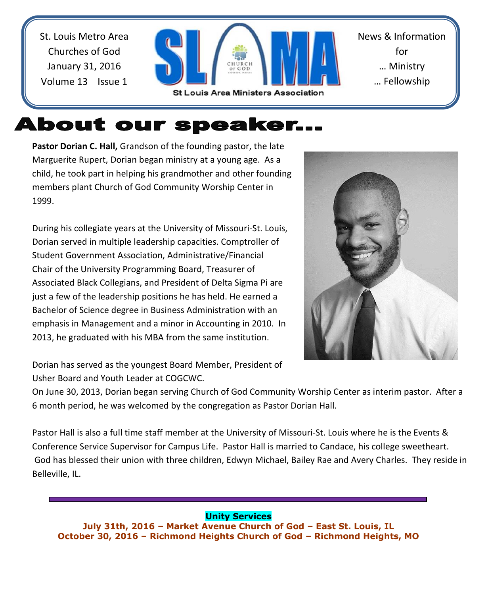St. Louis Metro Area Churches of God January 31, 2016 Volume 13 Issue 1



# About our speaker...

**Pastor Dorian C. Hall,** Grandson of the founding pastor, the late Marguerite Rupert, Dorian began ministry at a young age. As a child, he took part in helping his grandmother and other founding members plant Church of God Community Worship Center in 1999.

During his collegiate years at the University of Missouri-St. Louis, Dorian served in multiple leadership capacities. Comptroller of Student Government Association, Administrative/Financial Chair of the University Programming Board, Treasurer of Associated Black Collegians, and President of Delta Sigma Pi are just a few of the leadership positions he has held. He earned a Bachelor of Science degree in Business Administration with an emphasis in Management and a minor in Accounting in 2010. In 2013, he graduated with his MBA from the same institution.



Dorian has served as the youngest Board Member, President of Usher Board and Youth Leader at COGCWC.

On June 30, 2013, Dorian began serving Church of God Community Worship Center as interim pastor. After a 6 month period, he was welcomed by the congregation as Pastor Dorian Hall.

Pastor Hall is also a full time staff member at the University of Missouri-St. Louis where he is the Events & Conference Service Supervisor for Campus Life. Pastor Hall is married to Candace, his college sweetheart. God has blessed their union with three children, Edwyn Michael, Bailey Rae and Avery Charles. They reside in Belleville, IL.

### **Unity Services**

**July 31th, 2016 – Market Avenue Church of God – East St. Louis, IL October 30, 2016 – Richmond Heights Church of God – Richmond Heights, MO**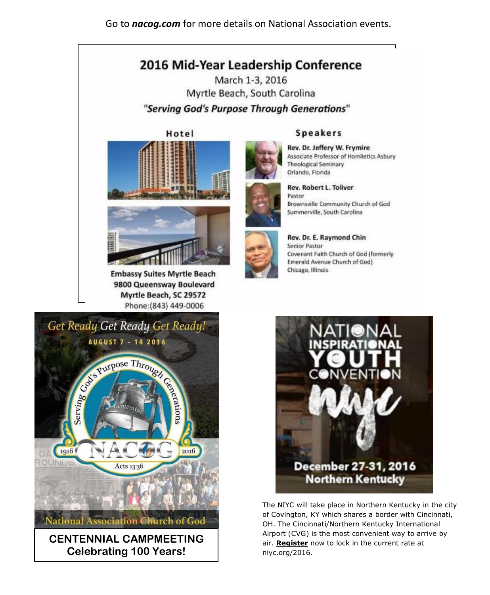Go to nacog.com for more details on National Association events.

### 2016 Mid-Year Leadership Conference

March 1-3, 2016 Myrtle Beach, South Carolina "Serving God's Purpose Through Generations"





**Embassy Suites Myrtle Beach** 9800 Queensway Boulevard Myrtle Beach, SC 29572 Phone: (843) 449-0006



Associate Professor of Homiletics Asbury **Theological Seminary** Orlando, Florida **Rev. Robert L. Toliver** 

Pastor Brownsville Community Church of God Summerville, South Carolina



Rev. Dr. E. Raymond Chin **Senior Pastor** Covenant Faith Church of God (formerly Emerald Avenue Church of God) Chicago, Illinois





The NIYC will take place in Northern Kentucky in the city of Covington, KY which shares a border with Cincinnati, OH. The Cincinnati/Northern Kentucky International Airport (CVG) is the most convenient way to arrive by air. Register now to lock in the current rate at niyc.org/2016.

#### **Speakers**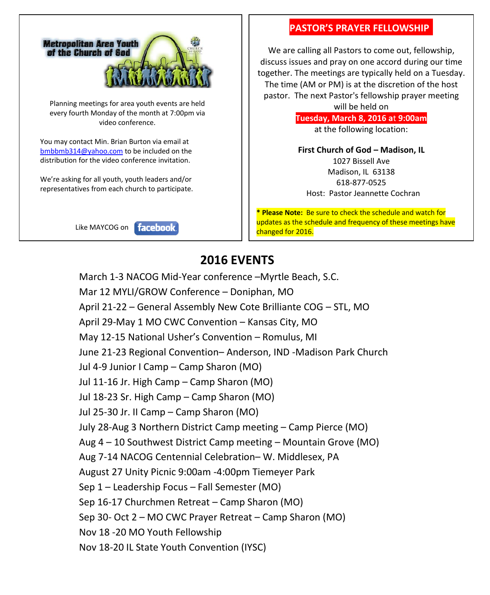

Planning meetings for area youth events are held every fourth Monday of the month at 7:00pm via video conference.

You may contact Min. Brian Burton via email at [bmbbmb314@yahoo.com](mailto:bmbbmb314@yahoo.com) to be included on the distribution for the video conference invitation.

We're asking for all youth, youth leaders and/or representatives from each church to participate.





#### **PASTOR'S PRAYER FELLOWSHIP.**

We are calling all Pastors to come out, fellowship, discuss issues and pray on one accord during our time together. The meetings are typically held on a Tuesday. The time (AM or PM) is at the discretion of the host pastor. The next Pastor's fellowship prayer meeting

> will be held on **Tuesday, March 8, 2016 a**t **9:00am** at the following location:

> **First Church of God – Madison, IL**  1027 Bissell Ave Madison, IL 63138 618-877-0525 Host: Pastor Jeannette Cochran

**\* Please Note:** Be sure to check the schedule and watch for updates as the schedule and frequency of these meetings have changed for 2016.

### **2016 EVENTS**

March 1-3 NACOG Mid-Year conference –Myrtle Beach, S.C. Mar 12 MYLI/GROW Conference – Doniphan, MO April 21-22 – General Assembly New Cote Brilliante COG – STL, MO April 29-May 1 MO CWC Convention – Kansas City, MO May 12-15 National Usher's Convention – Romulus, MI June 21-23 Regional Convention– Anderson, IND -Madison Park Church Jul 4-9 Junior I Camp – Camp Sharon (MO) Jul 11-16 Jr. High Camp – Camp Sharon (MO) Jul 18-23 Sr. High Camp – Camp Sharon (MO) Jul 25-30 Jr. II Camp – Camp Sharon (MO) July 28-Aug 3 Northern District Camp meeting – Camp Pierce (MO) Aug 4 – 10 Southwest District Camp meeting – Mountain Grove (MO) Aug 7-14 NACOG Centennial Celebration– W. Middlesex, PA August 27 Unity Picnic 9:00am -4:00pm Tiemeyer Park Sep 1 – Leadership Focus – Fall Semester (MO) Sep 16-17 Churchmen Retreat – Camp Sharon (MO) Sep 30- Oct 2 – MO CWC Prayer Retreat – Camp Sharon (MO) Nov 18 -20 MO Youth Fellowship Nov 18-20 IL State Youth Convention (IYSC)